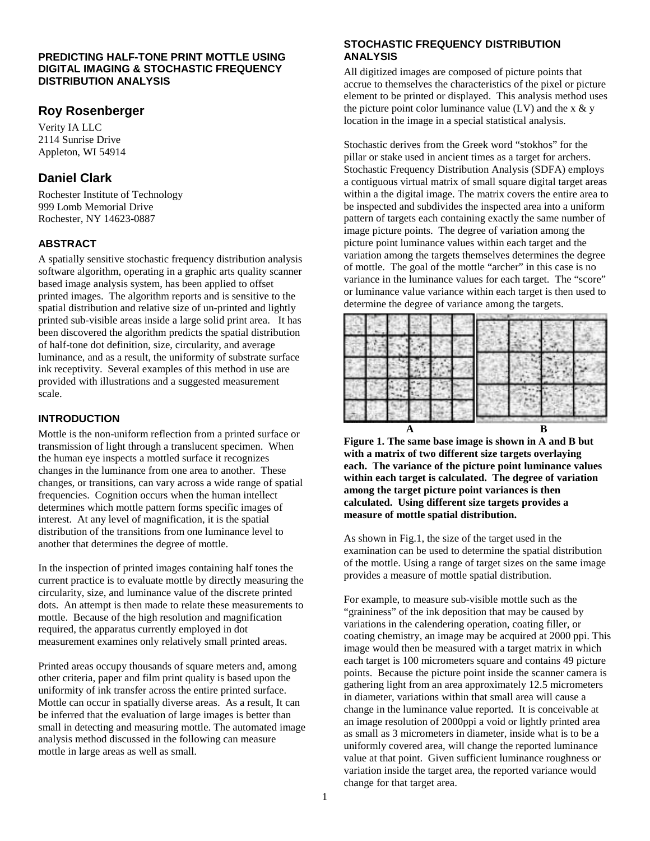### **PREDICTING HALF-TONE PRINT MOTTLE USING DIGITAL IMAGING & STOCHASTIC FREQUENCY DISTRIBUTION ANALYSIS**

# **Roy Rosenberger**

Verity IA LLC 2114 Sunrise Drive Appleton, WI 54914

# **Daniel Clark**

Rochester Institute of Technology 999 Lomb Memorial Drive Rochester, NY 14623-0887

## **ABSTRACT**

A spatially sensitive stochastic frequency distribution analysis software algorithm, operating in a graphic arts quality scanner based image analysis system, has been applied to offset printed images. The algorithm reports and is sensitive to the spatial distribution and relative size of un-printed and lightly printed sub-visible areas inside a large solid print area. It has been discovered the algorithm predicts the spatial distribution of half-tone dot definition, size, circularity, and average luminance, and as a result, the uniformity of substrate surface ink receptivity. Several examples of this method in use are provided with illustrations and a suggested measurement scale.

### **INTRODUCTION**

Mottle is the non-uniform reflection from a printed surface or transmission of light through a translucent specimen. When the human eye inspects a mottled surface it recognizes changes in the luminance from one area to another. These changes, or transitions, can vary across a wide range of spatial frequencies. Cognition occurs when the human intellect determines which mottle pattern forms specific images of interest. At any level of magnification, it is the spatial distribution of the transitions from one luminance level to another that determines the degree of mottle.

In the inspection of printed images containing half tones the current practice is to evaluate mottle by directly measuring the circularity, size, and luminance value of the discrete printed dots. An attempt is then made to relate these measurements to mottle. Because of the high resolution and magnification required, the apparatus currently employed in dot measurement examines only relatively small printed areas.

Printed areas occupy thousands of square meters and, among other criteria, paper and film print quality is based upon the uniformity of ink transfer across the entire printed surface. Mottle can occur in spatially diverse areas. As a result, It can be inferred that the evaluation of large images is better than small in detecting and measuring mottle. The automated image analysis method discussed in the following can measure mottle in large areas as well as small.

# **STOCHASTIC FREQUENCY DISTRIBUTION ANALYSIS**

All digitized images are composed of picture points that accrue to themselves the characteristics of the pixel or picture element to be printed or displayed. This analysis method uses the picture point color luminance value (LV) and the  $x \& y$ location in the image in a special statistical analysis.

Stochastic derives from the Greek word "stokhos" for the pillar or stake used in ancient times as a target for archers. Stochastic Frequency Distribution Analysis (SDFA) employs a contiguous virtual matrix of small square digital target areas within a the digital image. The matrix covers the entire area to be inspected and subdivides the inspected area into a uniform pattern of targets each containing exactly the same number of image picture points. The degree of variation among the picture point luminance values within each target and the variation among the targets themselves determines the degree of mottle. The goal of the mottle "archer" in this case is no variance in the luminance values for each target. The "score" or luminance value variance within each target is then used to determine the degree of variance among the targets.



**Figure 1. The same base image is shown in A and B but with a matrix of two different size targets overlaying each. The variance of the picture point luminance values within each target is calculated. The degree of variation among the target picture point variances is then calculated. Using different size targets provides a measure of mottle spatial distribution.**

As shown in Fig.1, the size of the target used in the examination can be used to determine the spatial distribution of the mottle. Using a range of target sizes on the same image provides a measure of mottle spatial distribution.

For example, to measure sub-visible mottle such as the "graininess" of the ink deposition that may be caused by variations in the calendering operation, coating filler, or coating chemistry, an image may be acquired at 2000 ppi. This image would then be measured with a target matrix in which each target is 100 micrometers square and contains 49 picture points. Because the picture point inside the scanner camera is gathering light from an area approximately 12.5 micrometers in diameter, variations within that small area will cause a change in the luminance value reported. It is conceivable at an image resolution of 2000ppi a void or lightly printed area as small as 3 micrometers in diameter, inside what is to be a uniformly covered area, will change the reported luminance value at that point. Given sufficient luminance roughness or variation inside the target area, the reported variance would change for that target area.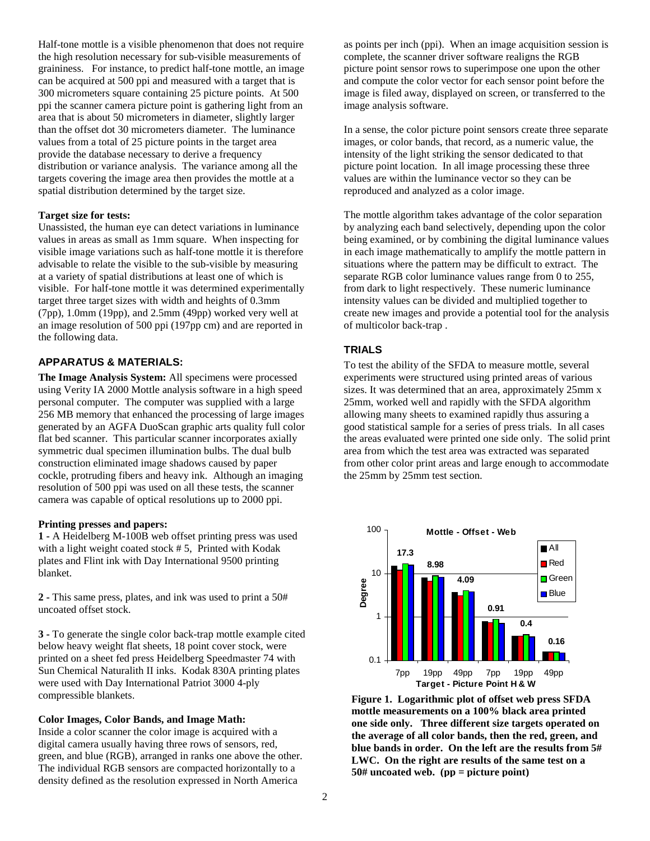Half-tone mottle is a visible phenomenon that does not require the high resolution necessary for sub-visible measurements of graininess. For instance, to predict half-tone mottle, an image can be acquired at 500 ppi and measured with a target that is 300 micrometers square containing 25 picture points. At 500 ppi the scanner camera picture point is gathering light from an area that is about 50 micrometers in diameter, slightly larger than the offset dot 30 micrometers diameter. The luminance values from a total of 25 picture points in the target area provide the database necessary to derive a frequency distribution or variance analysis. The variance among all the targets covering the image area then provides the mottle at a spatial distribution determined by the target size.

### **Target size for tests:**

Unassisted, the human eye can detect variations in luminance values in areas as small as 1mm square. When inspecting for visible image variations such as half-tone mottle it is therefore advisable to relate the visible to the sub-visible by measuring at a variety of spatial distributions at least one of which is visible. For half-tone mottle it was determined experimentally target three target sizes with width and heights of 0.3mm (7pp), 1.0mm (19pp), and 2.5mm (49pp) worked very well at an image resolution of 500 ppi (197pp cm) and are reported in the following data.

### **APPARATUS & MATERIALS:**

**The Image Analysis System:** All specimens were processed using Verity IA 2000 Mottle analysis software in a high speed personal computer. The computer was supplied with a large 256 MB memory that enhanced the processing of large images generated by an AGFA DuoScan graphic arts quality full color flat bed scanner. This particular scanner incorporates axially symmetric dual specimen illumination bulbs. The dual bulb construction eliminated image shadows caused by paper cockle, protruding fibers and heavy ink. Although an imaging resolution of 500 ppi was used on all these tests, the scanner camera was capable of optical resolutions up to 2000 ppi.

### **Printing presses and papers:**

**1 -** A Heidelberg M-100B web offset printing press was used with a light weight coated stock # 5, Printed with Kodak plates and Flint ink with Day International 9500 printing blanket.

**2 -** This same press, plates, and ink was used to print a 50# uncoated offset stock.

**3 -** To generate the single color back-trap mottle example cited below heavy weight flat sheets, 18 point cover stock, were printed on a sheet fed press Heidelberg Speedmaster 74 with Sun Chemical Naturalith II inks. Kodak 830A printing plates were used with Day International Patriot 3000 4-ply compressible blankets.

#### **Color Images, Color Bands, and Image Math:**

Inside a color scanner the color image is acquired with a digital camera usually having three rows of sensors, red, green, and blue (RGB), arranged in ranks one above the other. The individual RGB sensors are compacted horizontally to a density defined as the resolution expressed in North America

as points per inch (ppi). When an image acquisition session is complete, the scanner driver software realigns the RGB picture point sensor rows to superimpose one upon the other and compute the color vector for each sensor point before the image is filed away, displayed on screen, or transferred to the image analysis software.

In a sense, the color picture point sensors create three separate images, or color bands, that record, as a numeric value, the intensity of the light striking the sensor dedicated to that picture point location. In all image processing these three values are within the luminance vector so they can be reproduced and analyzed as a color image.

The mottle algorithm takes advantage of the color separation by analyzing each band selectively, depending upon the color being examined, or by combining the digital luminance values in each image mathematically to amplify the mottle pattern in situations where the pattern may be difficult to extract. The separate RGB color luminance values range from 0 to 255, from dark to light respectively. These numeric luminance intensity values can be divided and multiplied together to create new images and provide a potential tool for the analysis of multicolor back-trap .

## **TRIALS**

To test the ability of the SFDA to measure mottle, several experiments were structured using printed areas of various sizes. It was determined that an area, approximately 25mm x 25mm, worked well and rapidly with the SFDA algorithm allowing many sheets to examined rapidly thus assuring a good statistical sample for a series of press trials. In all cases the areas evaluated were printed one side only. The solid print area from which the test area was extracted was separated from other color print areas and large enough to accommodate the 25mm by 25mm test section.



**Figure 1. Logarithmic plot of offset web press SFDA mottle measurements on a 100% black area printed one side only. Three different size targets operated on the average of all color bands, then the red, green, and blue bands in order. On the left are the results from 5# LWC. On the right are results of the same test on a 50# uncoated web. (pp = picture point)**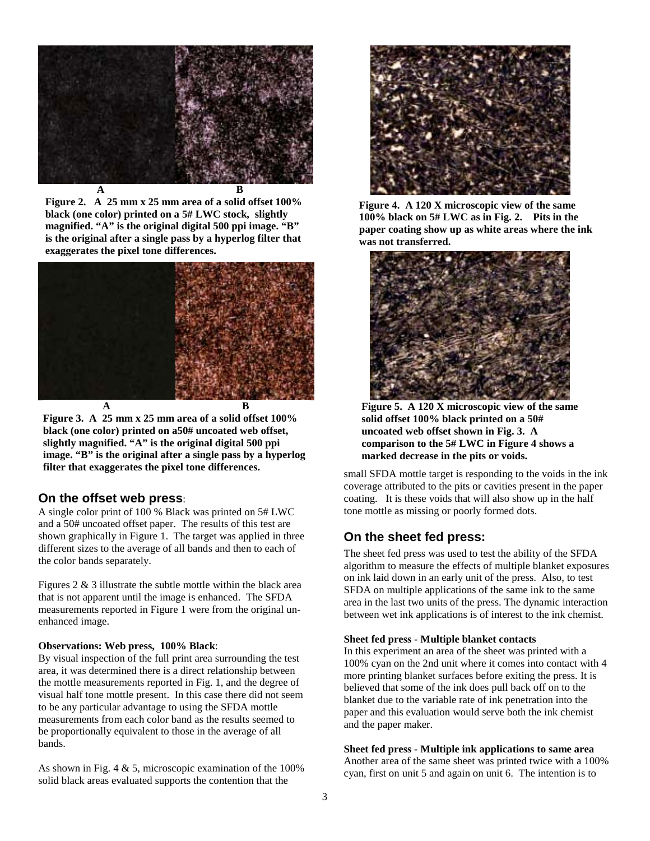

**Figure 2. A 25 mm x 25 mm area of a solid offset 100% black (one color) printed on a 5# LWC stock, slightly magnified. "A" is the original digital 500 ppi image. "B" is the original after a single pass by a hyperlog filter that exaggerates the pixel tone differences.**



**Figure 3. A 25 mm x 25 mm area of a solid offset 100% black (one color) printed on a50# uncoated web offset, slightly magnified. "A" is the original digital 500 ppi image. "B" is the original after a single pass by a hyperlog filter that exaggerates the pixel tone differences.**

# **On the offset web press**:

A single color print of 100 % Black was printed on 5# LWC and a 50# uncoated offset paper. The results of this test are shown graphically in Figure 1. The target was applied in three different sizes to the average of all bands and then to each of the color bands separately.

Figures 2 & 3 illustrate the subtle mottle within the black area that is not apparent until the image is enhanced. The SFDA measurements reported in Figure 1 were from the original unenhanced image.

### **Observations: Web press, 100% Black**:

By visual inspection of the full print area surrounding the test area, it was determined there is a direct relationship between the mottle measurements reported in Fig. 1, and the degree of visual half tone mottle present. In this case there did not seem to be any particular advantage to using the SFDA mottle measurements from each color band as the results seemed to be proportionally equivalent to those in the average of all bands.

As shown in Fig. 4 & 5, microscopic examination of the 100% solid black areas evaluated supports the contention that the



**Figure 4. A 120 X microscopic view of the same 100% black on 5# LWC as in Fig. 2. Pits in the paper coating show up as white areas where the ink was not transferred.**



**Figure 5. A 120 X microscopic view of the same solid offset 100% black printed on a 50# uncoated web offset shown in Fig. 3. A comparison to the 5# LWC in Figure 4 shows a marked decrease in the pits or voids.**

small SFDA mottle target is responding to the voids in the ink coverage attributed to the pits or cavities present in the paper coating. It is these voids that will also show up in the half tone mottle as missing or poorly formed dots.

# **On the sheet fed press:**

The sheet fed press was used to test the ability of the SFDA algorithm to measure the effects of multiple blanket exposures on ink laid down in an early unit of the press. Also, to test SFDA on multiple applications of the same ink to the same area in the last two units of the press. The dynamic interaction between wet ink applications is of interest to the ink chemist.

### **Sheet fed press - Multiple blanket contacts**

In this experiment an area of the sheet was printed with a 100% cyan on the 2nd unit where it comes into contact with 4 more printing blanket surfaces before exiting the press. It is believed that some of the ink does pull back off on to the blanket due to the variable rate of ink penetration into the paper and this evaluation would serve both the ink chemist and the paper maker.

### **Sheet fed press - Multiple ink applications to same area**

Another area of the same sheet was printed twice with a 100% cyan, first on unit 5 and again on unit 6. The intention is to